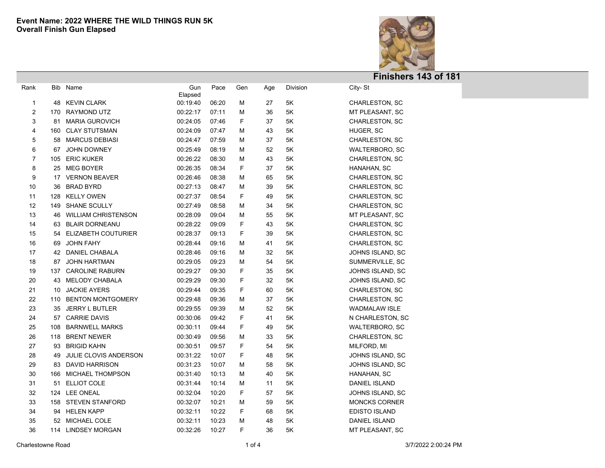

| Rank |     | Bib Name                     | Gun<br>Elapsed | Pace  | Gen | Age | Division | City-St               |  |
|------|-----|------------------------------|----------------|-------|-----|-----|----------|-----------------------|--|
| 1    | 48  | <b>KEVIN CLARK</b>           | 00:19:40       | 06:20 | М   | 27  | $5K$     | <b>CHARLESTON, SC</b> |  |
| 2    |     | 170 RAYMOND UTZ              | 00:22:17       | 07:11 | М   | 36  | 5K       | MT PLEASANT, SC       |  |
| 3    | 81  | MARIA GUROVICH               | 00:24:05       | 07:46 | F   | 37  | 5K       | <b>CHARLESTON, SC</b> |  |
| 4    | 160 | <b>CLAY STUTSMAN</b>         | 00:24:09       | 07:47 | М   | 43  | 5K       | HUGER, SC             |  |
| 5    | 58  | <b>MARCUS DEBIASI</b>        | 00:24:47       | 07:59 | Μ   | 37  | 5K       | CHARLESTON, SC        |  |
| 6    | 67  | <b>JOHN DOWNEY</b>           | 00:25:49       | 08:19 | Μ   | 52  | 5K       | <b>WALTERBORO, SC</b> |  |
| 7    |     | 105 ERIC KUKER               | 00:26:22       | 08:30 | М   | 43  | 5K       | CHARLESTON, SC        |  |
| 8    |     | 25 MEG BOYER                 | 00:26:35       | 08:34 | F   | 37  | 5K       | HANAHAN, SC           |  |
| 9    | 17  | <b>VERNON BEAVER</b>         | 00:26:46       | 08:38 | М   | 65  | 5K       | <b>CHARLESTON, SC</b> |  |
| 10   | 36  | <b>BRAD BYRD</b>             | 00:27:13       | 08:47 | М   | 39  | 5K       | CHARLESTON, SC        |  |
| 11   | 128 | <b>KELLY OWEN</b>            | 00:27:37       | 08:54 | F   | 49  | 5K       | CHARLESTON, SC        |  |
| 12   | 149 | <b>SHANE SCULLY</b>          | 00:27:49       | 08:58 | М   | 34  | 5K       | CHARLESTON, SC        |  |
| 13   | 46  | <b>WILLIAM CHRISTENSON</b>   | 00:28:09       | 09:04 | М   | 55  | 5K       | MT PLEASANT, SC       |  |
| 14   | 63  | <b>BLAIR DORNEANU</b>        | 00:28:22       | 09:09 | F   | 43  | 5K       | <b>CHARLESTON, SC</b> |  |
| 15   | 54  | ELIZABETH COUTURIER          | 00:28:37       | 09:13 | F   | 39  | 5K       | <b>CHARLESTON, SC</b> |  |
| 16   | 69  | <b>JOHN FAHY</b>             | 00:28:44       | 09:16 | M   | 41  | 5K       | CHARLESTON, SC        |  |
| 17   | 42  | DANIEL CHABALA               | 00:28:46       | 09:16 | Μ   | 32  | 5K       | JOHNS ISLAND, SC      |  |
| 18   | 87  | <b>JOHN HARTMAN</b>          | 00:29:05       | 09:23 | М   | 54  | 5K       | SUMMERVILLE, SC       |  |
| 19   | 137 | <b>CAROLINE RABURN</b>       | 00:29:27       | 09:30 | F   | 35  | 5K       | JOHNS ISLAND, SC      |  |
| 20   | 43  | MELODY CHABALA               | 00:29:29       | 09:30 | F   | 32  | 5K       | JOHNS ISLAND, SC      |  |
| 21   | 10  | <b>JACKIE AYERS</b>          | 00:29:44       | 09:35 | F   | 60  | 5K       | CHARLESTON, SC        |  |
| 22   | 110 | <b>BENTON MONTGOMERY</b>     | 00:29:48       | 09:36 | М   | 37  | 5K       | <b>CHARLESTON, SC</b> |  |
| 23   | 35  | <b>JERRY L BUTLER</b>        | 00:29:55       | 09:39 | Μ   | 52  | 5K       | <b>WADMALAW ISLE</b>  |  |
| 24   | 57  | <b>CARRIE DAVIS</b>          | 00:30:06       | 09:42 | F   | 41  | 5K       | N CHARLESTON, SC      |  |
| 25   | 108 | <b>BARNWELL MARKS</b>        | 00:30:11       | 09:44 | F   | 49  | 5K       | WALTERBORO, SC        |  |
| 26   | 118 | <b>BRENT NEWER</b>           | 00:30:49       | 09:56 | Μ   | 33  | 5K       | <b>CHARLESTON, SC</b> |  |
| 27   | 93  | <b>BRIGID KAHN</b>           | 00:30:51       | 09:57 | F   | 54  | 5K       | MILFORD, MI           |  |
| 28   | 49  | <b>JULIE CLOVIS ANDERSON</b> | 00:31:22       | 10:07 | F   | 48  | 5K       | JOHNS ISLAND, SC      |  |
| 29   | 83  | DAVID HARRISON               | 00:31:23       | 10:07 | м   | 58  | 5K       | JOHNS ISLAND, SC      |  |
| 30   | 166 | MICHAEL THOMPSON             | 00:31:40       | 10:13 | м   | 40  | 5K       | HANAHAN, SC           |  |
| 31   | 51  | <b>ELLIOT COLE</b>           | 00:31:44       | 10:14 | M   | 11  | 5K       | DANIEL ISLAND         |  |
| 32   |     | 124 LEE ONEAL                | 00:32:04       | 10:20 | F   | 57  | 5K       | JOHNS ISLAND, SC      |  |
| 33   | 158 | STEVEN STANFORD              | 00:32:07       | 10:21 | М   | 59  | 5K       | <b>MONCKS CORNER</b>  |  |
| 34   |     | 94 HELEN KAPP                | 00:32:11       | 10:22 | F   | 68  | 5K       | <b>EDISTO ISLAND</b>  |  |
| 35   | 52  | <b>MICHAEL COLE</b>          | 00:32:11       | 10:23 | M   | 48  | 5K       | <b>DANIEL ISLAND</b>  |  |
| 36   |     | 114 LINDSEY MORGAN           | 00:32:26       | 10:27 | F   | 36  | 5K       | MT PLEASANT, SC       |  |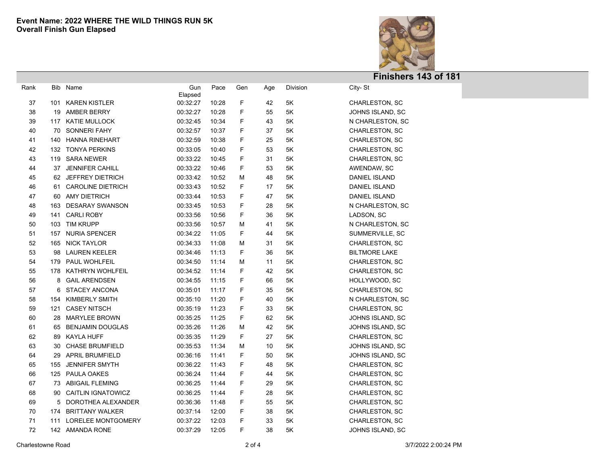

| Rank |     | Bib Name                 | Gun<br>Elapsed | Pace  | Gen         | Age | Division      | City-St               |  |
|------|-----|--------------------------|----------------|-------|-------------|-----|---------------|-----------------------|--|
| 37   | 101 | KAREN KISTLER            | 00:32:27       | 10:28 | F           | 42  | $5\mathsf{K}$ | CHARLESTON, SC        |  |
| 38   |     | 19 AMBER BERRY           | 00:32:27       | 10:28 | F           | 55  | 5K            | JOHNS ISLAND, SC      |  |
| 39   |     | 117 KATIE MULLOCK        | 00:32:45       | 10:34 | F           | 43  | 5K            | N CHARLESTON, SC      |  |
| 40   |     | 70 SONNERI FAHY          | 00:32:57       | 10:37 | F           | 37  | 5Κ            | CHARLESTON, SC        |  |
| 41   |     | 140 HANNA RINEHART       | 00:32:59       | 10:38 | F           | 25  | 5Κ            | CHARLESTON, SC        |  |
| 42   |     | 132 TONYA PERKINS        | 00:33:05       | 10:40 | F           | 53  | 5Κ            | CHARLESTON, SC        |  |
| 43   |     | 119 SARA NEWER           | 00:33:22       | 10:45 | F           | 31  | 5Κ            | CHARLESTON, SC        |  |
| 44   | 37  | <b>JENNIFER CAHILL</b>   | 00:33:22       | 10:46 | F           | 53  | 5Κ            | AWENDAW, SC           |  |
| 45   |     | 62 JEFFREY DIETRICH      | 00:33:42       | 10:52 | M           | 48  | 5Κ            | DANIEL ISLAND         |  |
| 46   | 61  | <b>CAROLINE DIETRICH</b> | 00:33:43       | 10:52 | F           | 17  | 5K            | DANIEL ISLAND         |  |
| 47   |     | 60 AMY DIETRICH          | 00:33:44       | 10:53 | F           | 47  | 5Κ            | <b>DANIEL ISLAND</b>  |  |
| 48   | 163 | <b>DESARAY SWANSON</b>   | 00:33:45       | 10:53 | F           | 28  | 5K            | N CHARLESTON, SC      |  |
| 49   | 141 | <b>CARLI ROBY</b>        | 00:33:56       | 10:56 | F           | 36  | 5K            | LADSON, SC            |  |
| 50   |     | 103 TIM KRUPP            | 00:33:56       | 10:57 | M           | 41  | 5K            | N CHARLESTON, SC      |  |
| 51   | 157 | NURIA SPENCER            | 00:34:22       | 11:05 | F           | 44  | 5K            | SUMMERVILLE, SC       |  |
| 52   |     | 165 NICK TAYLOR          | 00:34:33       | 11:08 | M           | 31  | 5K            | CHARLESTON, SC        |  |
| 53   | 98  | <b>LAUREN KEELER</b>     | 00:34:46       | 11:13 | F           | 36  | 5K            | <b>BILTMORE LAKE</b>  |  |
| 54   |     | 179 PAUL WOHLFEIL        | 00:34:50       | 11:14 | M           | 11  | 5K            | <b>CHARLESTON, SC</b> |  |
| 55   | 178 | KATHRYN WOHLFEIL         | 00:34:52       | 11:14 | F           | 42  | 5K            | <b>CHARLESTON, SC</b> |  |
| 56   | 8   | <b>GAIL ARENDSEN</b>     | 00:34:55       | 11:15 | F           | 66  | 5K            | HOLLYWOOD, SC         |  |
| 57   | 6   | <b>STACEY ANCONA</b>     | 00:35:01       | 11:17 | F           | 35  | 5K            | <b>CHARLESTON, SC</b> |  |
| 58   | 154 | KIMBERLY SMITH           | 00:35:10       | 11:20 | F           | 40  | 5K            | N CHARLESTON, SC      |  |
| 59   | 121 | <b>CASEY NITSCH</b>      | 00:35:19       | 11:23 | F           | 33  | 5K            | CHARLESTON, SC        |  |
| 60   | 28  | MARYLEE BROWN            | 00:35:25       | 11:25 | $\mathsf F$ | 62  | 5K            | JOHNS ISLAND, SC      |  |
| 61   |     | 65 BENJAMIN DOUGLAS      | 00:35:26       | 11:26 | M           | 42  | 5K            | JOHNS ISLAND, SC      |  |
| 62   |     | 89 KAYLA HUFF            | 00:35:35       | 11:29 | F           | 27  | 5K            | CHARLESTON, SC        |  |
| 63   |     | 30 CHASE BRUMFIELD       | 00:35:53       | 11:34 | M           | 10  | 5K            | JOHNS ISLAND, SC      |  |
| 64   |     | 29 APRIL BRUMFIELD       | 00:36:16       | 11:41 | F           | 50  | 5K            | JOHNS ISLAND, SC      |  |
| 65   | 155 | <b>JENNIFER SMYTH</b>    | 00:36:22       | 11:43 | F           | 48  | 5K            | CHARLESTON, SC        |  |
| 66   |     | 125 PAULA OAKES          | 00:36:24       | 11:44 | F           | 44  | 5K            | CHARLESTON, SC        |  |
| 67   |     | 73 ABIGAIL FLEMING       | 00:36:25       | 11:44 | F           | 29  | 5K            | <b>CHARLESTON, SC</b> |  |
| 68   |     | 90 CAITLIN IGNATOWICZ    | 00:36:25       | 11:44 | F           | 28  | 5K            | <b>CHARLESTON, SC</b> |  |
| 69   | 5   | DOROTHEA ALEXANDER       | 00:36:36       | 11:48 | F           | 55  | 5Κ            | <b>CHARLESTON, SC</b> |  |
| 70   | 174 | <b>BRITTANY WALKER</b>   | 00:37:14       | 12:00 | F           | 38  | 5K            | <b>CHARLESTON, SC</b> |  |
| 71   | 111 | LORELEE MONTGOMERY       | 00:37:22       | 12:03 | F           | 33  | 5Κ            | <b>CHARLESTON, SC</b> |  |
| 72   |     | 142 AMANDA RONE          | 00:37:29       | 12:05 | F           | 38  | 5Κ            | JOHNS ISLAND, SC      |  |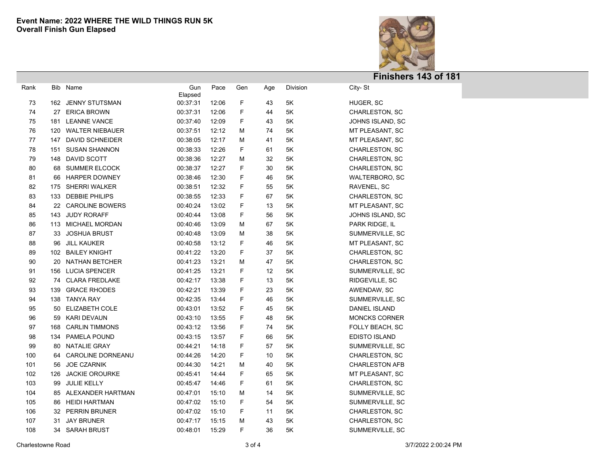

| Rank |     | Bib Name               | Gun<br>Elapsed | Pace  | Gen         | Age | Division      | City-St               |  |
|------|-----|------------------------|----------------|-------|-------------|-----|---------------|-----------------------|--|
| 73   |     | 162 JENNY STUTSMAN     | 00:37:31       | 12:06 | F           | 43  | $5\mathsf{K}$ | HUGER, SC             |  |
| 74   | 27  | <b>ERICA BROWN</b>     | 00:37:31       | 12:06 | $\mathsf F$ | 44  | 5K            | CHARLESTON, SC        |  |
| 75   | 181 | <b>LEANNE VANCE</b>    | 00:37:40       | 12:09 | F           | 43  | 5K            | JOHNS ISLAND, SC      |  |
| 76   |     | 120 WALTER NIEBAUER    | 00:37:51       | 12:12 | М           | 74  | 5K            | MT PLEASANT, SC       |  |
| 77   | 147 | <b>DAVID SCHNEIDER</b> | 00:38:05       | 12:17 | М           | 41  | 5K            | MT PLEASANT, SC       |  |
| 78   | 151 | <b>SUSAN SHANNON</b>   | 00:38:33       | 12:26 | F           | 61  | 5K            | CHARLESTON, SC        |  |
| 79   | 148 | DAVID SCOTT            | 00:38:36       | 12:27 | М           | 32  | $5\mathsf{K}$ | CHARLESTON, SC        |  |
| 80   | 68  | <b>SUMMER ELCOCK</b>   | 00:38:37       | 12:27 | F           | 30  | $5\mathsf{K}$ | CHARLESTON, SC        |  |
| 81   | 66  | <b>HARPER DOWNEY</b>   | 00:38:46       | 12:30 | F           | 46  | $5\mathsf{K}$ | WALTERBORO, SC        |  |
| 82   |     | 175 SHERRI WALKER      | 00:38:51       | 12:32 | F           | 55  | 5K            | RAVENEL, SC           |  |
| 83   | 133 | <b>DEBBIE PHILIPS</b>  | 00:38:55       | 12:33 | F           | 67  | 5Κ            | CHARLESTON, SC        |  |
| 84   | 22  | <b>CAROLINE BOWERS</b> | 00:40:24       | 13:02 | F           | 13  | 5K            | MT PLEASANT, SC       |  |
| 85   | 143 | <b>JUDY RORAFF</b>     | 00:40:44       | 13:08 | F           | 56  | 5K            | JOHNS ISLAND, SC      |  |
| 86   |     | 113 MICHAEL MORDAN     | 00:40:46       | 13:09 | М           | 67  | 5Κ            | PARK RIDGE, IL        |  |
| 87   | 33  | <b>JOSHUA BRUST</b>    | 00:40:48       | 13:09 | М           | 38  | 5Κ            | SUMMERVILLE, SC       |  |
| 88   | 96  | <b>JILL KAUKER</b>     | 00:40:58       | 13:12 | F           | 46  | 5K            | MT PLEASANT, SC       |  |
| 89   | 102 | <b>BAILEY KNIGHT</b>   | 00:41:22       | 13:20 | F           | 37  | 5K            | CHARLESTON, SC        |  |
| 90   | 20  | <b>NATHAN BETCHER</b>  | 00:41:23       | 13:21 | М           | 47  | 5K            | CHARLESTON, SC        |  |
| 91   | 156 | <b>LUCIA SPENCER</b>   | 00:41:25       | 13:21 | F           | 12  | 5K            | SUMMERVILLE, SC       |  |
| 92   | 74  | <b>CLARA FREDLAKE</b>  | 00:42:17       | 13:38 | F           | 13  | 5K            | RIDGEVILLE, SC        |  |
| 93   | 139 | <b>GRACE RHODES</b>    | 00:42:21       | 13:39 | $\mathsf F$ | 23  | 5K            | AWENDAW, SC           |  |
| 94   | 138 | <b>TANYA RAY</b>       | 00:42:35       | 13:44 | F           | 46  | 5K            | SUMMERVILLE, SC       |  |
| 95   | 50  | ELIZABETH COLE         | 00:43:01       | 13:52 | F           | 45  | 5K            | DANIEL ISLAND         |  |
| 96   | 59  | KARI DEVAUN            | 00:43:10       | 13:55 | $\mathsf F$ | 48  | 5K            | <b>MONCKS CORNER</b>  |  |
| 97   | 168 | <b>CARLIN TIMMONS</b>  | 00:43:12       | 13:56 | F           | 74  | 5K            | FOLLY BEACH, SC       |  |
| 98   | 134 | PAMELA POUND           | 00:43:15       | 13:57 | $\mathsf F$ | 66  | 5K            | <b>EDISTO ISLAND</b>  |  |
| 99   | 80  | NATALIE GRAY           | 00:44:21       | 14:18 | $\mathsf F$ | 57  | 5K            | SUMMERVILLE, SC       |  |
| 100  | 64  | CAROLINE DORNEANU      | 00:44:26       | 14:20 | $\mathsf F$ | 10  | 5K            | CHARLESTON, SC        |  |
| 101  | 56  | <b>JOE CZARNIK</b>     | 00:44:30       | 14:21 | М           | 40  | 5K            | <b>CHARLESTON AFB</b> |  |
| 102  | 126 | <b>JACKIE OROURKE</b>  | 00:45:41       | 14:44 | F           | 65  | 5K            | MT PLEASANT, SC       |  |
| 103  | 99  | <b>JULIE KELLY</b>     | 00:45:47       | 14:46 | F           | 61  | 5K            | CHARLESTON, SC        |  |
| 104  | 85  | ALEXANDER HARTMAN      | 00:47:01       | 15:10 | м           | 14  | 5K            | SUMMERVILLE, SC       |  |
| 105  | 86  | HEIDI HARTMAN          | 00:47:02       | 15:10 | F           | 54  | 5K            | SUMMERVILLE, SC       |  |
| 106  | 32  | <b>PERRIN BRUNER</b>   | 00:47:02       | 15:10 | F           | 11  | 5K            | CHARLESTON, SC        |  |
| 107  | 31  | JAY BRUNER             | 00:47:17       | 15:15 | м           | 43  | 5K            | CHARLESTON, SC        |  |
| 108  |     | 34 SARAH BRUST         | 00:48:01       | 15:29 | F           | 36  | 5Κ            | SUMMERVILLE, SC       |  |